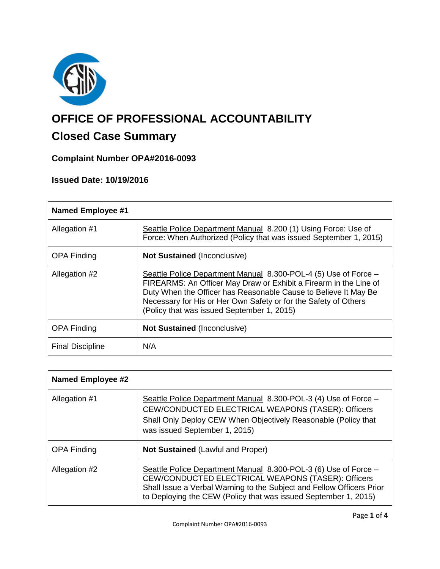

# **OFFICE OF PROFESSIONAL ACCOUNTABILITY**

# **Closed Case Summary**

# **Complaint Number OPA#2016-0093**

# **Issued Date: 10/19/2016**

| <b>Named Employee #1</b> |                                                                                                                                                                                                                                                                                                                          |  |
|--------------------------|--------------------------------------------------------------------------------------------------------------------------------------------------------------------------------------------------------------------------------------------------------------------------------------------------------------------------|--|
| Allegation #1            | Seattle Police Department Manual 8.200 (1) Using Force: Use of<br>Force: When Authorized (Policy that was issued September 1, 2015)                                                                                                                                                                                      |  |
| <b>OPA Finding</b>       | <b>Not Sustained (Inconclusive)</b>                                                                                                                                                                                                                                                                                      |  |
| Allegation #2            | Seattle Police Department Manual 8.300-POL-4 (5) Use of Force -<br>FIREARMS: An Officer May Draw or Exhibit a Firearm in the Line of<br>Duty When the Officer has Reasonable Cause to Believe It May Be<br>Necessary for His or Her Own Safety or for the Safety of Others<br>(Policy that was issued September 1, 2015) |  |
| <b>OPA Finding</b>       | <b>Not Sustained (Inconclusive)</b>                                                                                                                                                                                                                                                                                      |  |
| <b>Final Discipline</b>  | N/A                                                                                                                                                                                                                                                                                                                      |  |

| <b>Named Employee #2</b> |                                                                                                                                                                                                                                                                   |
|--------------------------|-------------------------------------------------------------------------------------------------------------------------------------------------------------------------------------------------------------------------------------------------------------------|
| Allegation #1            | Seattle Police Department Manual 8.300-POL-3 (4) Use of Force -<br>CEW/CONDUCTED ELECTRICAL WEAPONS (TASER): Officers<br>Shall Only Deploy CEW When Objectively Reasonable (Policy that<br>was issued September 1, 2015)                                          |
| <b>OPA Finding</b>       | <b>Not Sustained (Lawful and Proper)</b>                                                                                                                                                                                                                          |
| Allegation #2            | Seattle Police Department Manual 8.300-POL-3 (6) Use of Force -<br>CEW/CONDUCTED ELECTRICAL WEAPONS (TASER): Officers<br>Shall Issue a Verbal Warning to the Subject and Fellow Officers Prior<br>to Deploying the CEW (Policy that was issued September 1, 2015) |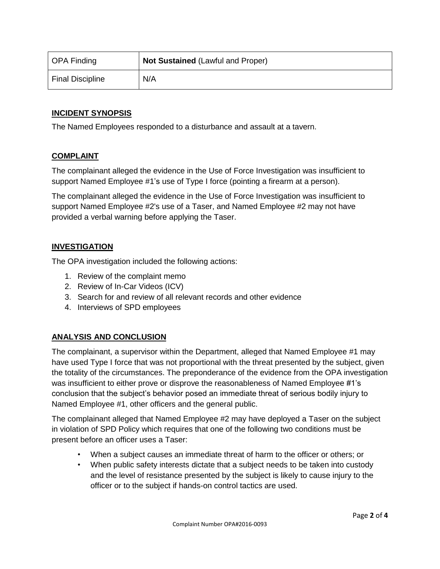| OPA Finding             | <b>Not Sustained (Lawful and Proper)</b> |
|-------------------------|------------------------------------------|
| <b>Final Discipline</b> | N/A                                      |

# **INCIDENT SYNOPSIS**

The Named Employees responded to a disturbance and assault at a tavern.

## **COMPLAINT**

The complainant alleged the evidence in the Use of Force Investigation was insufficient to support Named Employee #1's use of Type I force (pointing a firearm at a person).

The complainant alleged the evidence in the Use of Force Investigation was insufficient to support Named Employee #2's use of a Taser, and Named Employee #2 may not have provided a verbal warning before applying the Taser.

# **INVESTIGATION**

The OPA investigation included the following actions:

- 1. Review of the complaint memo
- 2. Review of In-Car Videos (ICV)
- 3. Search for and review of all relevant records and other evidence
- 4. Interviews of SPD employees

# **ANALYSIS AND CONCLUSION**

The complainant, a supervisor within the Department, alleged that Named Employee #1 may have used Type I force that was not proportional with the threat presented by the subject, given the totality of the circumstances. The preponderance of the evidence from the OPA investigation was insufficient to either prove or disprove the reasonableness of Named Employee #1's conclusion that the subject's behavior posed an immediate threat of serious bodily injury to Named Employee #1, other officers and the general public.

The complainant alleged that Named Employee #2 may have deployed a Taser on the subject in violation of SPD Policy which requires that one of the following two conditions must be present before an officer uses a Taser:

- When a subject causes an immediate threat of harm to the officer or others; or
- When public safety interests dictate that a subject needs to be taken into custody and the level of resistance presented by the subject is likely to cause injury to the officer or to the subject if hands-on control tactics are used.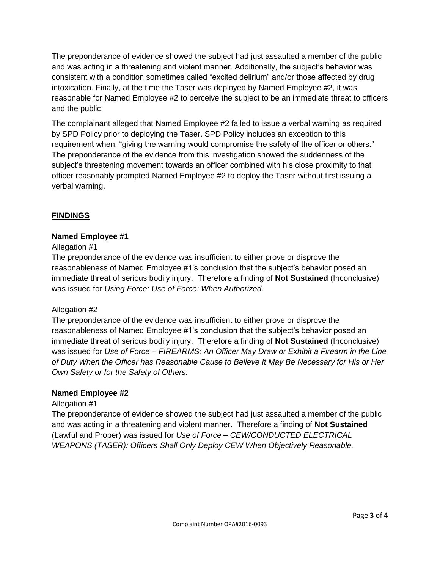The preponderance of evidence showed the subject had just assaulted a member of the public and was acting in a threatening and violent manner. Additionally, the subject's behavior was consistent with a condition sometimes called "excited delirium" and/or those affected by drug intoxication. Finally, at the time the Taser was deployed by Named Employee #2, it was reasonable for Named Employee #2 to perceive the subject to be an immediate threat to officers and the public.

The complainant alleged that Named Employee #2 failed to issue a verbal warning as required by SPD Policy prior to deploying the Taser. SPD Policy includes an exception to this requirement when, "giving the warning would compromise the safety of the officer or others." The preponderance of the evidence from this investigation showed the suddenness of the subject's threatening movement towards an officer combined with his close proximity to that officer reasonably prompted Named Employee #2 to deploy the Taser without first issuing a verbal warning.

# **FINDINGS**

# **Named Employee #1**

# Allegation #1

The preponderance of the evidence was insufficient to either prove or disprove the reasonableness of Named Employee #1's conclusion that the subject's behavior posed an immediate threat of serious bodily injury. Therefore a finding of **Not Sustained** (Inconclusive) was issued for *Using Force: Use of Force: When Authorized.*

## Allegation #2

The preponderance of the evidence was insufficient to either prove or disprove the reasonableness of Named Employee #1's conclusion that the subject's behavior posed an immediate threat of serious bodily injury. Therefore a finding of **Not Sustained** (Inconclusive) was issued for *Use of Force – FIREARMS: An Officer May Draw or Exhibit a Firearm in the Line of Duty When the Officer has Reasonable Cause to Believe It May Be Necessary for His or Her Own Safety or for the Safety of Others.*

## **Named Employee #2**

## Allegation #1

The preponderance of evidence showed the subject had just assaulted a member of the public and was acting in a threatening and violent manner. Therefore a finding of **Not Sustained** (Lawful and Proper) was issued for *Use of Force – CEW/CONDUCTED ELECTRICAL WEAPONS (TASER): Officers Shall Only Deploy CEW When Objectively Reasonable.*